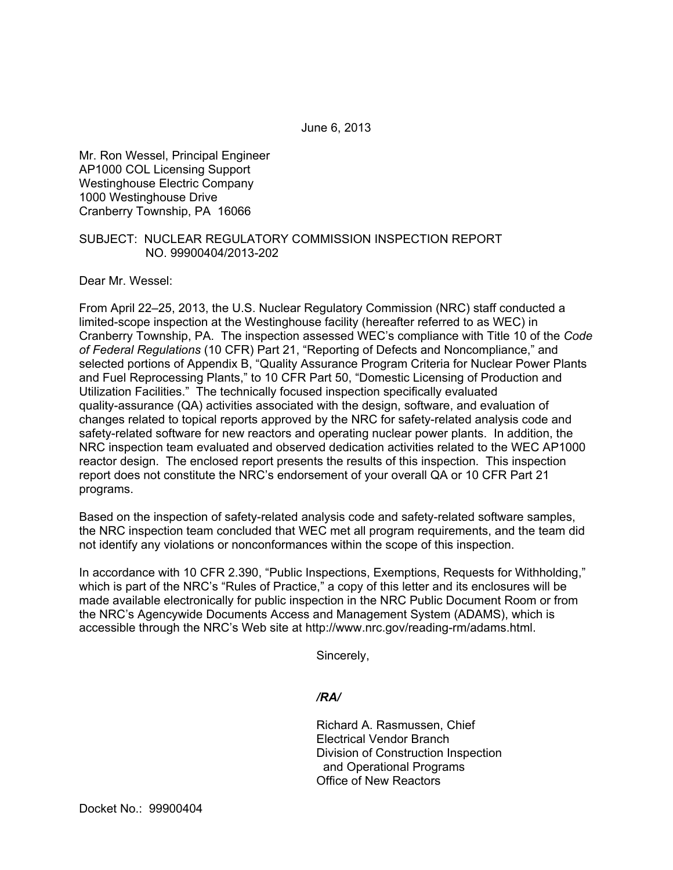June 6, 2013

Mr. Ron Wessel, Principal Engineer AP1000 COL Licensing Support Westinghouse Electric Company 1000 Westinghouse Drive Cranberry Township, PA 16066

#### SUBJECT: NUCLEAR REGULATORY COMMISSION INSPECTION REPORT NO. 99900404/2013-202

Dear Mr. Wessel:

From April 22–25, 2013, the U.S. Nuclear Regulatory Commission (NRC) staff conducted a limited-scope inspection at the Westinghouse facility (hereafter referred to as WEC) in Cranberry Township, PA. The inspection assessed WEC's compliance with Title 10 of the *Code of Federal Regulations* (10 CFR) Part 21, "Reporting of Defects and Noncompliance," and selected portions of Appendix B, "Quality Assurance Program Criteria for Nuclear Power Plants and Fuel Reprocessing Plants," to 10 CFR Part 50, "Domestic Licensing of Production and Utilization Facilities." The technically focused inspection specifically evaluated quality-assurance (QA) activities associated with the design, software, and evaluation of changes related to topical reports approved by the NRC for safety-related analysis code and safety-related software for new reactors and operating nuclear power plants. In addition, the NRC inspection team evaluated and observed dedication activities related to the WEC AP1000 reactor design. The enclosed report presents the results of this inspection. This inspection report does not constitute the NRC's endorsement of your overall QA or 10 CFR Part 21 programs.

Based on the inspection of safety-related analysis code and safety-related software samples, the NRC inspection team concluded that WEC met all program requirements, and the team did not identify any violations or nonconformances within the scope of this inspection.

In accordance with 10 CFR 2.390, "Public Inspections, Exemptions, Requests for Withholding," which is part of the NRC's "Rules of Practice," a copy of this letter and its enclosures will be made available electronically for public inspection in the NRC Public Document Room or from the NRC's Agencywide Documents Access and Management System (ADAMS), which is accessible through the NRC's Web site at http://www.nrc.gov/reading-rm/adams.html.

Sincerely,

*/RA/* 

Richard A. Rasmussen, Chief Electrical Vendor Branch Division of Construction Inspection and Operational Programs Office of New Reactors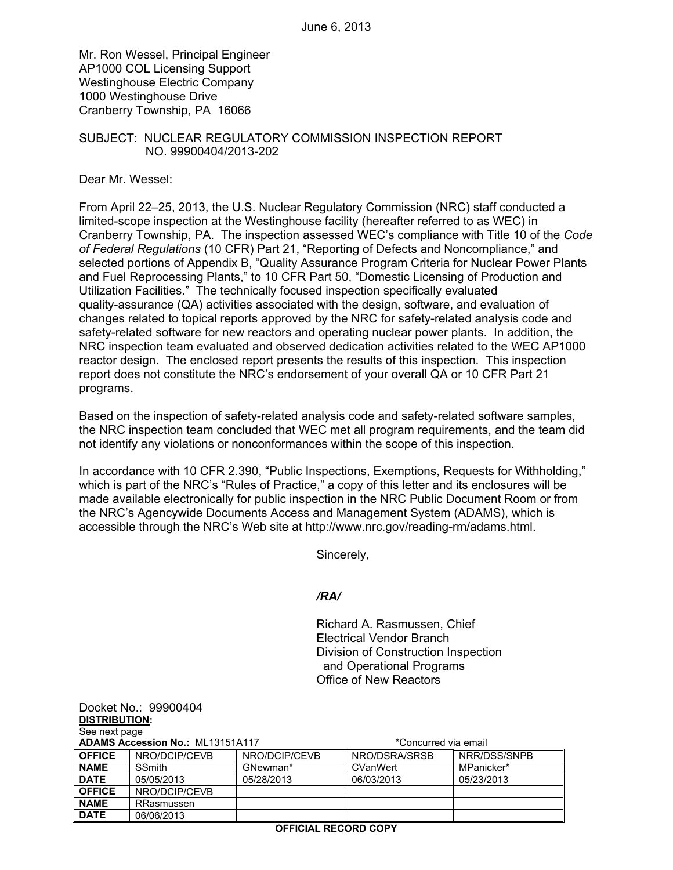Mr. Ron Wessel, Principal Engineer AP1000 COL Licensing Support Westinghouse Electric Company 1000 Westinghouse Drive Cranberry Township, PA 16066

#### SUBJECT: NUCLEAR REGULATORY COMMISSION INSPECTION REPORT NO. 99900404/2013-202

Dear Mr. Wessel:

From April 22–25, 2013, the U.S. Nuclear Regulatory Commission (NRC) staff conducted a limited-scope inspection at the Westinghouse facility (hereafter referred to as WEC) in Cranberry Township, PA. The inspection assessed WEC's compliance with Title 10 of the *Code of Federal Regulations* (10 CFR) Part 21, "Reporting of Defects and Noncompliance," and selected portions of Appendix B, "Quality Assurance Program Criteria for Nuclear Power Plants and Fuel Reprocessing Plants," to 10 CFR Part 50, "Domestic Licensing of Production and Utilization Facilities." The technically focused inspection specifically evaluated quality-assurance (QA) activities associated with the design, software, and evaluation of changes related to topical reports approved by the NRC for safety-related analysis code and safety-related software for new reactors and operating nuclear power plants. In addition, the NRC inspection team evaluated and observed dedication activities related to the WEC AP1000 reactor design. The enclosed report presents the results of this inspection. This inspection report does not constitute the NRC's endorsement of your overall QA or 10 CFR Part 21 programs.

Based on the inspection of safety-related analysis code and safety-related software samples, the NRC inspection team concluded that WEC met all program requirements, and the team did not identify any violations or nonconformances within the scope of this inspection.

In accordance with 10 CFR 2.390, "Public Inspections, Exemptions, Requests for Withholding," which is part of the NRC's "Rules of Practice," a copy of this letter and its enclosures will be made available electronically for public inspection in the NRC Public Document Room or from the NRC's Agencywide Documents Access and Management System (ADAMS), which is accessible through the NRC's Web site at http://www.nrc.gov/reading-rm/adams.html.

Sincerely,

# */RA/*

Richard A. Rasmussen, Chief Electrical Vendor Branch Division of Construction Inspection and Operational Programs Office of New Reactors

Docket No.: 99900404 **DISTRIBUTION:**  See next page

| <b>ADAMS Accession No.: ML13151A117</b> |               | *Concurred via email |               |              |
|-----------------------------------------|---------------|----------------------|---------------|--------------|
| <b>OFFICE</b>                           | NRO/DCIP/CEVB | NRO/DCIP/CEVB        | NRO/DSRA/SRSB | NRR/DSS/SNPB |
| <b>NAME</b>                             | <b>SSmith</b> | GNewman*             | CVanWert      | MPanicker*   |
| <b>DATE</b>                             | 05/05/2013    | 05/28/2013           | 06/03/2013    | 05/23/2013   |
| <b>OFFICE</b>                           | NRO/DCIP/CEVB |                      |               |              |
| <b>NAME</b>                             | RRasmussen    |                      |               |              |
| <b>DATE</b>                             | 06/06/2013    |                      |               |              |

#### **OFFICIAL RECORD COPY**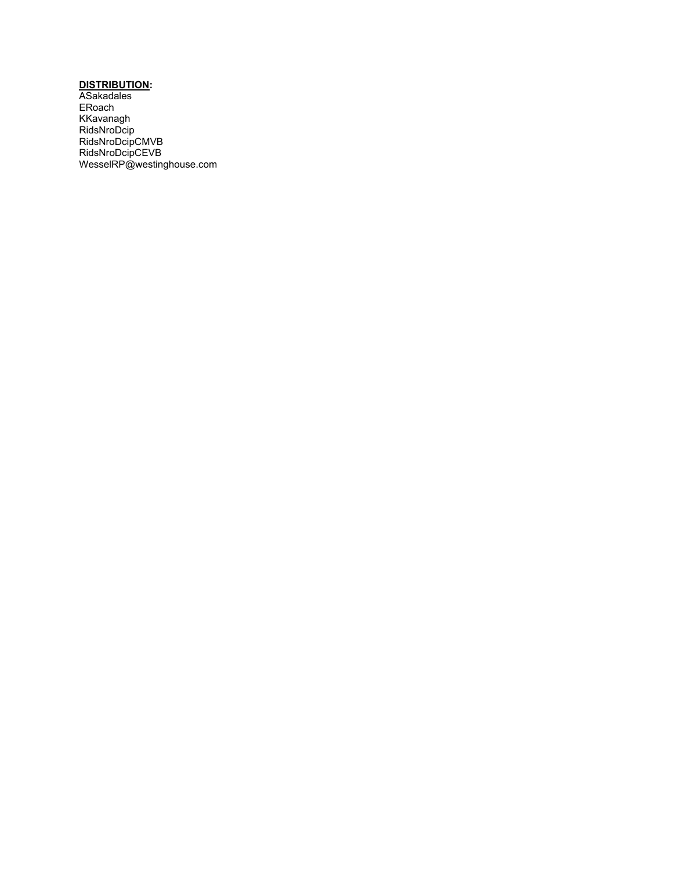#### **DISTRIBUTION:**

ASakadales ERoach KKavanagh RidsNroDcip RidsNroDcipCMVB RidsNroDcipCEVB WesselRP@westinghouse.com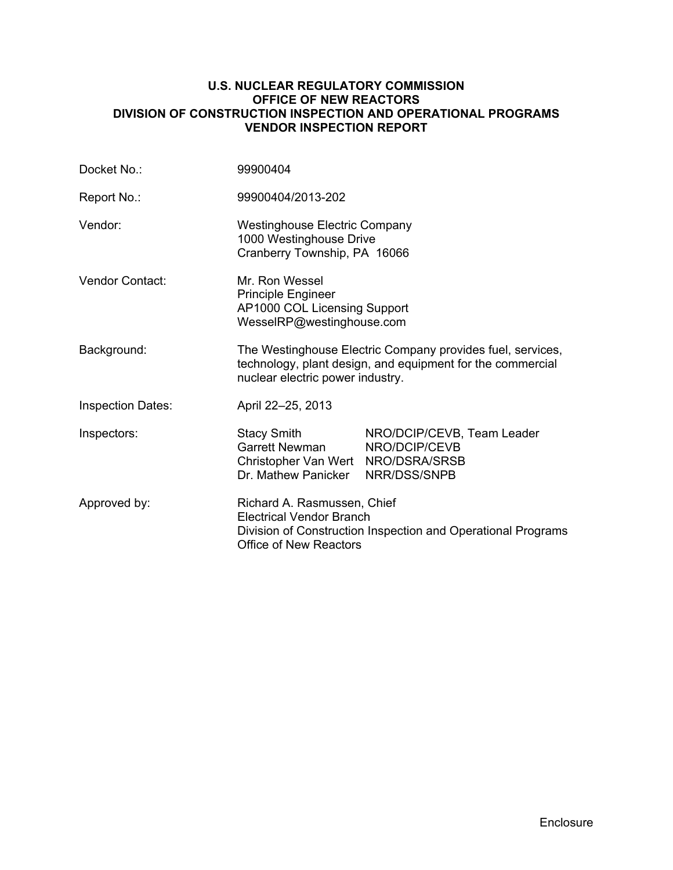#### **U.S. NUCLEAR REGULATORY COMMISSION OFFICE OF NEW REACTORS DIVISION OF CONSTRUCTION INSPECTION AND OPERATIONAL PROGRAMS VENDOR INSPECTION REPORT**

| Docket No.:              | 99900404                                                                                                                                                        |                                                             |  |
|--------------------------|-----------------------------------------------------------------------------------------------------------------------------------------------------------------|-------------------------------------------------------------|--|
| Report No.:              | 99900404/2013-202                                                                                                                                               |                                                             |  |
| Vendor:                  | <b>Westinghouse Electric Company</b><br>1000 Westinghouse Drive<br>Cranberry Township, PA 16066                                                                 |                                                             |  |
| <b>Vendor Contact:</b>   | Mr. Ron Wessel<br><b>Principle Engineer</b><br>AP1000 COL Licensing Support<br>WesselRP@westinghouse.com                                                        |                                                             |  |
| Background:              | The Westinghouse Electric Company provides fuel, services,<br>technology, plant design, and equipment for the commercial<br>nuclear electric power industry.    |                                                             |  |
| <b>Inspection Dates:</b> | April 22-25, 2013                                                                                                                                               |                                                             |  |
| Inspectors:              | <b>Stacy Smith</b><br><b>Garrett Newman</b><br>Christopher Van Wert NRO/DSRA/SRSB<br>Dr. Mathew Panicker                                                        | NRO/DCIP/CEVB, Team Leader<br>NRO/DCIP/CEVB<br>NRR/DSS/SNPB |  |
| Approved by:             | Richard A. Rasmussen, Chief<br><b>Electrical Vendor Branch</b><br>Division of Construction Inspection and Operational Programs<br><b>Office of New Reactors</b> |                                                             |  |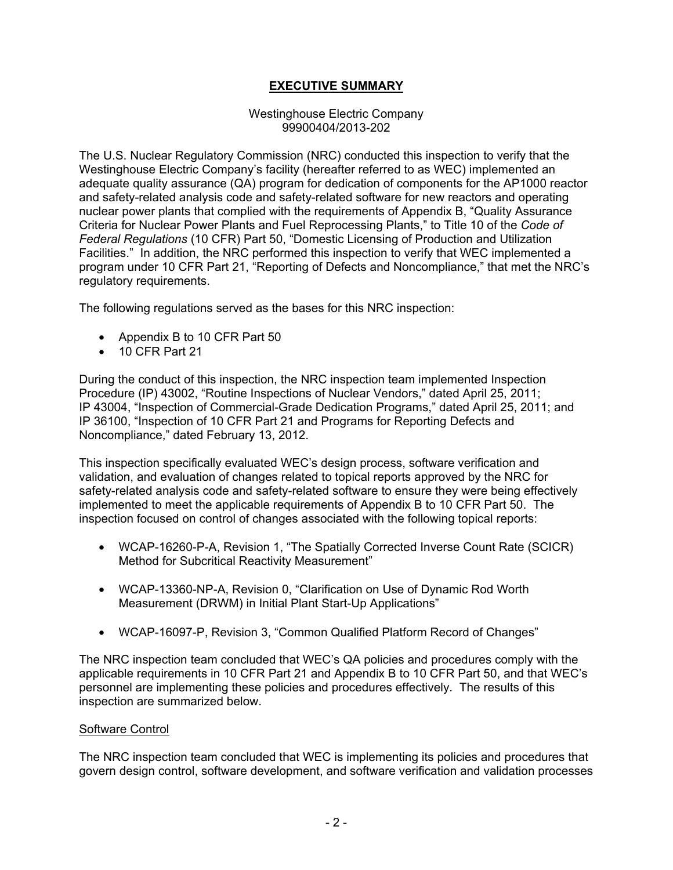# **EXECUTIVE SUMMARY**

#### Westinghouse Electric Company 99900404/2013-202

The U.S. Nuclear Regulatory Commission (NRC) conducted this inspection to verify that the Westinghouse Electric Company's facility (hereafter referred to as WEC) implemented an adequate quality assurance (QA) program for dedication of components for the AP1000 reactor and safety-related analysis code and safety-related software for new reactors and operating nuclear power plants that complied with the requirements of Appendix B, "Quality Assurance Criteria for Nuclear Power Plants and Fuel Reprocessing Plants," to Title 10 of the *Code of Federal Regulations* (10 CFR) Part 50, "Domestic Licensing of Production and Utilization Facilities." In addition, the NRC performed this inspection to verify that WEC implemented a program under 10 CFR Part 21, "Reporting of Defects and Noncompliance," that met the NRC's regulatory requirements.

The following regulations served as the bases for this NRC inspection:

- Appendix B to 10 CFR Part 50
- 10 CFR Part 21

During the conduct of this inspection, the NRC inspection team implemented Inspection Procedure (IP) 43002, "Routine Inspections of Nuclear Vendors," dated April 25, 2011; IP 43004, "Inspection of Commercial-Grade Dedication Programs," dated April 25, 2011; and IP 36100, "Inspection of 10 CFR Part 21 and Programs for Reporting Defects and Noncompliance," dated February 13, 2012.

This inspection specifically evaluated WEC's design process, software verification and validation, and evaluation of changes related to topical reports approved by the NRC for safety-related analysis code and safety-related software to ensure they were being effectively implemented to meet the applicable requirements of Appendix B to 10 CFR Part 50. The inspection focused on control of changes associated with the following topical reports:

- WCAP-16260-P-A, Revision 1, "The Spatially Corrected Inverse Count Rate (SCICR) Method for Subcritical Reactivity Measurement"
- WCAP-13360-NP-A, Revision 0, "Clarification on Use of Dynamic Rod Worth Measurement (DRWM) in Initial Plant Start-Up Applications"
- WCAP-16097-P, Revision 3, "Common Qualified Platform Record of Changes"

The NRC inspection team concluded that WEC's QA policies and procedures comply with the applicable requirements in 10 CFR Part 21 and Appendix B to 10 CFR Part 50, and that WEC's personnel are implementing these policies and procedures effectively. The results of this inspection are summarized below.

# Software Control

The NRC inspection team concluded that WEC is implementing its policies and procedures that govern design control, software development, and software verification and validation processes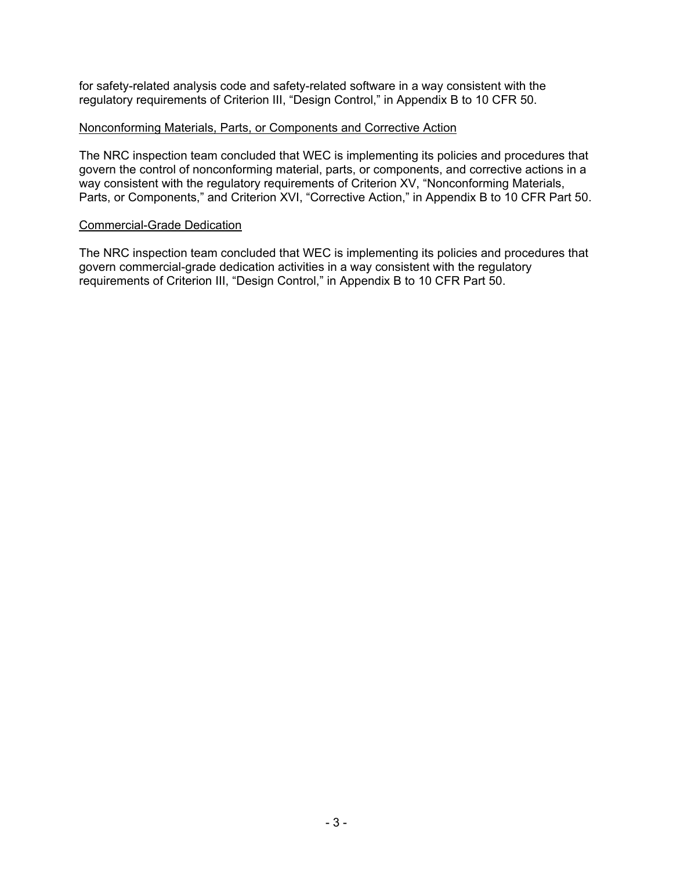for safety-related analysis code and safety-related software in a way consistent with the regulatory requirements of Criterion III, "Design Control," in Appendix B to 10 CFR 50.

#### Nonconforming Materials, Parts, or Components and Corrective Action

The NRC inspection team concluded that WEC is implementing its policies and procedures that govern the control of nonconforming material, parts, or components, and corrective actions in a way consistent with the regulatory requirements of Criterion XV, "Nonconforming Materials, Parts, or Components," and Criterion XVI, "Corrective Action," in Appendix B to 10 CFR Part 50.

#### Commercial-Grade Dedication

The NRC inspection team concluded that WEC is implementing its policies and procedures that govern commercial-grade dedication activities in a way consistent with the regulatory requirements of Criterion III, "Design Control," in Appendix B to 10 CFR Part 50.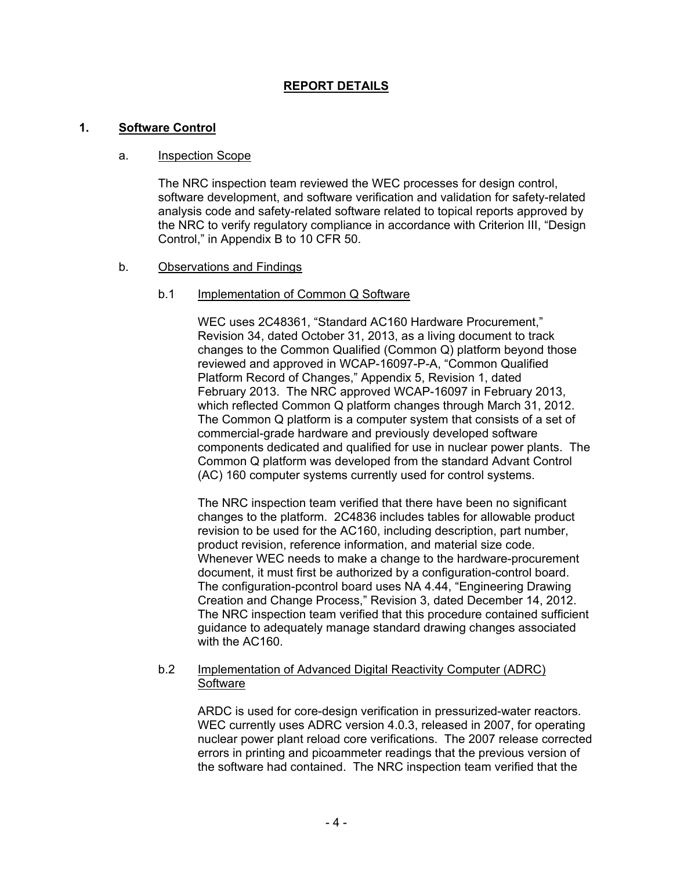# **REPORT DETAILS**

#### **1. Software Control**

#### a. Inspection Scope

The NRC inspection team reviewed the WEC processes for design control, software development, and software verification and validation for safety-related analysis code and safety-related software related to topical reports approved by the NRC to verify regulatory compliance in accordance with Criterion III, "Design Control," in Appendix B to 10 CFR 50.

#### b. Observations and Findings

#### b.1 Implementation of Common Q Software

WEC uses 2C48361, "Standard AC160 Hardware Procurement," Revision 34, dated October 31, 2013, as a living document to track changes to the Common Qualified (Common Q) platform beyond those reviewed and approved in WCAP-16097-P-A, "Common Qualified Platform Record of Changes," Appendix 5, Revision 1, dated February 2013. The NRC approved WCAP-16097 in February 2013, which reflected Common Q platform changes through March 31, 2012. The Common Q platform is a computer system that consists of a set of commercial-grade hardware and previously developed software components dedicated and qualified for use in nuclear power plants. The Common Q platform was developed from the standard Advant Control (AC) 160 computer systems currently used for control systems.

The NRC inspection team verified that there have been no significant changes to the platform. 2C4836 includes tables for allowable product revision to be used for the AC160, including description, part number, product revision, reference information, and material size code. Whenever WEC needs to make a change to the hardware-procurement document, it must first be authorized by a configuration-control board. The configuration-pcontrol board uses NA 4.44, "Engineering Drawing Creation and Change Process," Revision 3, dated December 14, 2012. The NRC inspection team verified that this procedure contained sufficient guidance to adequately manage standard drawing changes associated with the AC160.

#### b.2 Implementation of Advanced Digital Reactivity Computer (ADRC) **Software**

ARDC is used for core-design verification in pressurized-water reactors. WEC currently uses ADRC version 4.0.3, released in 2007, for operating nuclear power plant reload core verifications. The 2007 release corrected errors in printing and picoammeter readings that the previous version of the software had contained. The NRC inspection team verified that the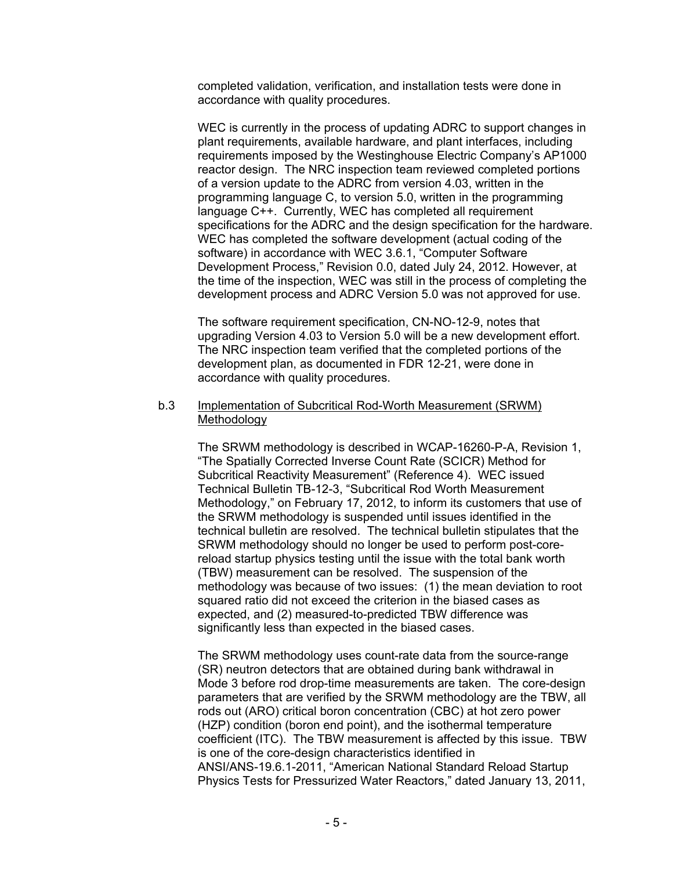completed validation, verification, and installation tests were done in accordance with quality procedures.

WEC is currently in the process of updating ADRC to support changes in plant requirements, available hardware, and plant interfaces, including requirements imposed by the Westinghouse Electric Company's AP1000 reactor design. The NRC inspection team reviewed completed portions of a version update to the ADRC from version 4.03, written in the programming language C, to version 5.0, written in the programming language C++. Currently, WEC has completed all requirement specifications for the ADRC and the design specification for the hardware. WEC has completed the software development (actual coding of the software) in accordance with WEC 3.6.1, "Computer Software Development Process," Revision 0.0, dated July 24, 2012. However, at the time of the inspection, WEC was still in the process of completing the development process and ADRC Version 5.0 was not approved for use.

The software requirement specification, CN-NO-12-9, notes that upgrading Version 4.03 to Version 5.0 will be a new development effort. The NRC inspection team verified that the completed portions of the development plan, as documented in FDR 12-21, were done in accordance with quality procedures.

#### b.3 Implementation of Subcritical Rod-Worth Measurement (SRWM) Methodology

The SRWM methodology is described in WCAP-16260-P-A, Revision 1, "The Spatially Corrected Inverse Count Rate (SCICR) Method for Subcritical Reactivity Measurement" (Reference 4). WEC issued Technical Bulletin TB-12-3, "Subcritical Rod Worth Measurement Methodology," on February 17, 2012, to inform its customers that use of the SRWM methodology is suspended until issues identified in the technical bulletin are resolved. The technical bulletin stipulates that the SRWM methodology should no longer be used to perform post-corereload startup physics testing until the issue with the total bank worth (TBW) measurement can be resolved. The suspension of the methodology was because of two issues: (1) the mean deviation to root squared ratio did not exceed the criterion in the biased cases as expected, and (2) measured-to-predicted TBW difference was significantly less than expected in the biased cases.

The SRWM methodology uses count-rate data from the source-range (SR) neutron detectors that are obtained during bank withdrawal in Mode 3 before rod drop-time measurements are taken. The core-design parameters that are verified by the SRWM methodology are the TBW, all rods out (ARO) critical boron concentration (CBC) at hot zero power (HZP) condition (boron end point), and the isothermal temperature coefficient (ITC). The TBW measurement is affected by this issue. TBW is one of the core-design characteristics identified in ANSI/ANS-19.6.1-2011, "American National Standard Reload Startup Physics Tests for Pressurized Water Reactors," dated January 13, 2011,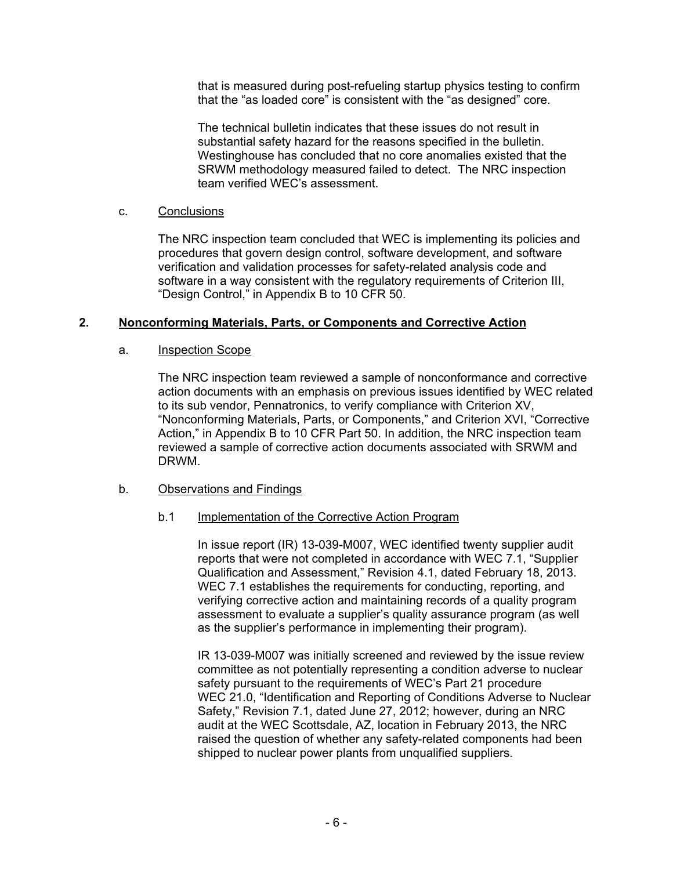that is measured during post-refueling startup physics testing to confirm that the "as loaded core" is consistent with the "as designed" core.

The technical bulletin indicates that these issues do not result in substantial safety hazard for the reasons specified in the bulletin. Westinghouse has concluded that no core anomalies existed that the SRWM methodology measured failed to detect. The NRC inspection team verified WEC's assessment.

#### c. Conclusions

The NRC inspection team concluded that WEC is implementing its policies and procedures that govern design control, software development, and software verification and validation processes for safety-related analysis code and software in a way consistent with the regulatory requirements of Criterion III, "Design Control," in Appendix B to 10 CFR 50.

# **2. Nonconforming Materials, Parts, or Components and Corrective Action**

# a. Inspection Scope

The NRC inspection team reviewed a sample of nonconformance and corrective action documents with an emphasis on previous issues identified by WEC related to its sub vendor, Pennatronics, to verify compliance with Criterion XV, "Nonconforming Materials, Parts, or Components," and Criterion XVI, "Corrective Action," in Appendix B to 10 CFR Part 50. In addition, the NRC inspection team reviewed a sample of corrective action documents associated with SRWM and DRWM.

# b. Observations and Findings

# b.1 Implementation of the Corrective Action Program

In issue report (IR) 13-039-M007, WEC identified twenty supplier audit reports that were not completed in accordance with WEC 7.1, "Supplier Qualification and Assessment," Revision 4.1, dated February 18, 2013. WEC 7.1 establishes the requirements for conducting, reporting, and verifying corrective action and maintaining records of a quality program assessment to evaluate a supplier's quality assurance program (as well as the supplier's performance in implementing their program).

IR 13-039-M007 was initially screened and reviewed by the issue review committee as not potentially representing a condition adverse to nuclear safety pursuant to the requirements of WEC's Part 21 procedure WEC 21.0, "Identification and Reporting of Conditions Adverse to Nuclear Safety," Revision 7.1, dated June 27, 2012; however, during an NRC audit at the WEC Scottsdale, AZ, location in February 2013, the NRC raised the question of whether any safety-related components had been shipped to nuclear power plants from unqualified suppliers.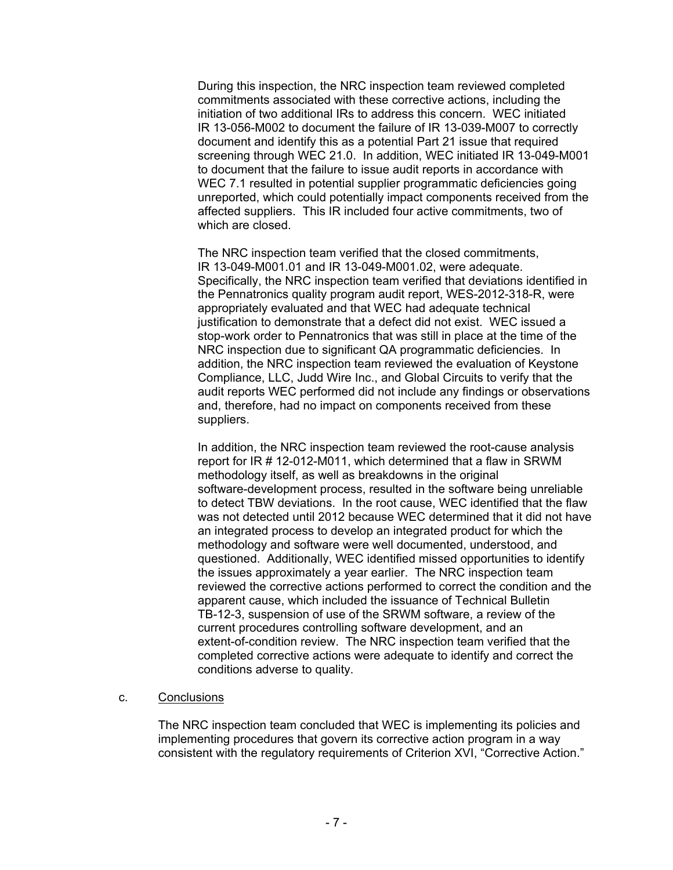During this inspection, the NRC inspection team reviewed completed commitments associated with these corrective actions, including the initiation of two additional IRs to address this concern. WEC initiated IR 13-056-M002 to document the failure of IR 13-039-M007 to correctly document and identify this as a potential Part 21 issue that required screening through WEC 21.0. In addition, WEC initiated IR 13-049-M001 to document that the failure to issue audit reports in accordance with WEC 7.1 resulted in potential supplier programmatic deficiencies going unreported, which could potentially impact components received from the affected suppliers. This IR included four active commitments, two of which are closed.

The NRC inspection team verified that the closed commitments, IR 13-049-M001.01 and IR 13-049-M001.02, were adequate. Specifically, the NRC inspection team verified that deviations identified in the Pennatronics quality program audit report, WES-2012-318-R, were appropriately evaluated and that WEC had adequate technical justification to demonstrate that a defect did not exist. WEC issued a stop-work order to Pennatronics that was still in place at the time of the NRC inspection due to significant QA programmatic deficiencies. In addition, the NRC inspection team reviewed the evaluation of Keystone Compliance, LLC, Judd Wire Inc., and Global Circuits to verify that the audit reports WEC performed did not include any findings or observations and, therefore, had no impact on components received from these suppliers.

In addition, the NRC inspection team reviewed the root-cause analysis report for IR # 12-012-M011, which determined that a flaw in SRWM methodology itself, as well as breakdowns in the original software-development process, resulted in the software being unreliable to detect TBW deviations. In the root cause, WEC identified that the flaw was not detected until 2012 because WEC determined that it did not have an integrated process to develop an integrated product for which the methodology and software were well documented, understood, and questioned. Additionally, WEC identified missed opportunities to identify the issues approximately a year earlier. The NRC inspection team reviewed the corrective actions performed to correct the condition and the apparent cause, which included the issuance of Technical Bulletin TB-12-3, suspension of use of the SRWM software, a review of the current procedures controlling software development, and an extent-of-condition review. The NRC inspection team verified that the completed corrective actions were adequate to identify and correct the conditions adverse to quality.

# c. Conclusions

The NRC inspection team concluded that WEC is implementing its policies and implementing procedures that govern its corrective action program in a way consistent with the regulatory requirements of Criterion XVI, "Corrective Action."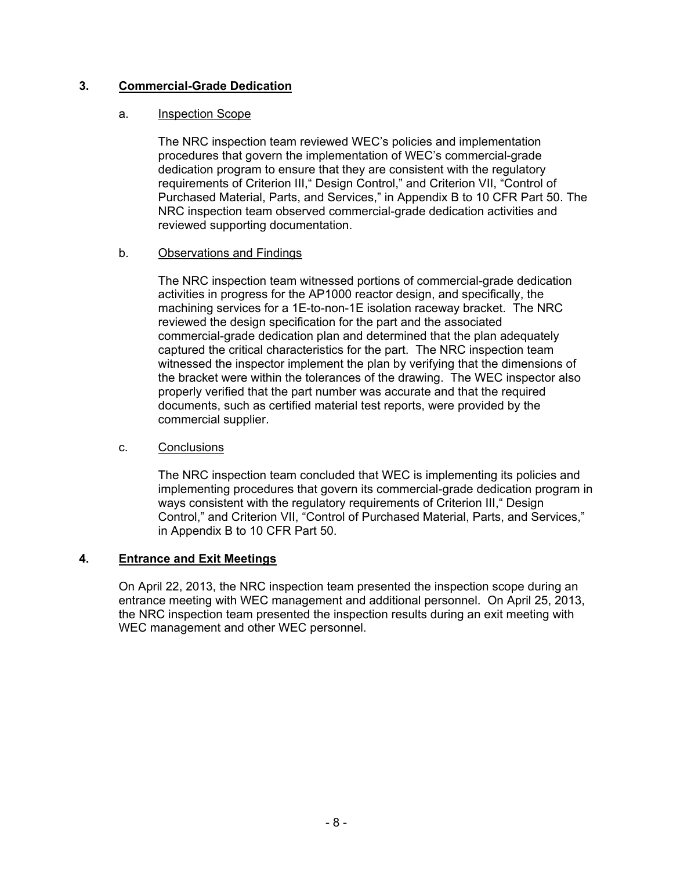# **3. Commercial-Grade Dedication**

# a. Inspection Scope

The NRC inspection team reviewed WEC's policies and implementation procedures that govern the implementation of WEC's commercial-grade dedication program to ensure that they are consistent with the regulatory requirements of Criterion III," Design Control," and Criterion VII, "Control of Purchased Material, Parts, and Services," in Appendix B to 10 CFR Part 50. The NRC inspection team observed commercial-grade dedication activities and reviewed supporting documentation.

# b. Observations and Findings

The NRC inspection team witnessed portions of commercial-grade dedication activities in progress for the AP1000 reactor design, and specifically, the machining services for a 1E-to-non-1E isolation raceway bracket. The NRC reviewed the design specification for the part and the associated commercial-grade dedication plan and determined that the plan adequately captured the critical characteristics for the part. The NRC inspection team witnessed the inspector implement the plan by verifying that the dimensions of the bracket were within the tolerances of the drawing. The WEC inspector also properly verified that the part number was accurate and that the required documents, such as certified material test reports, were provided by the commercial supplier.

# c. Conclusions

The NRC inspection team concluded that WEC is implementing its policies and implementing procedures that govern its commercial-grade dedication program in ways consistent with the regulatory requirements of Criterion III," Design Control," and Criterion VII, "Control of Purchased Material, Parts, and Services," in Appendix B to 10 CFR Part 50.

# **4. Entrance and Exit Meetings**

On April 22, 2013, the NRC inspection team presented the inspection scope during an entrance meeting with WEC management and additional personnel. On April 25, 2013, the NRC inspection team presented the inspection results during an exit meeting with WEC management and other WEC personnel.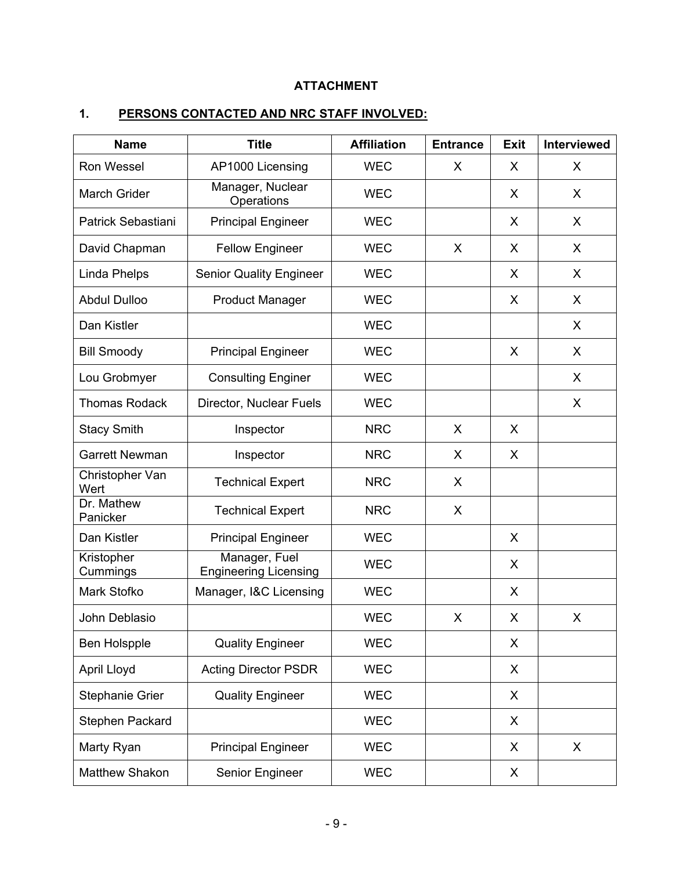# **ATTACHMENT**

# **1. PERSONS CONTACTED AND NRC STAFF INVOLVED:**

| <b>Name</b>             | <b>Title</b>                                  | <b>Affiliation</b> | <b>Entrance</b> | <b>Exit</b> | <b>Interviewed</b> |
|-------------------------|-----------------------------------------------|--------------------|-----------------|-------------|--------------------|
| Ron Wessel              | AP1000 Licensing                              | <b>WEC</b>         | X               | X           | X                  |
| <b>March Grider</b>     | Manager, Nuclear<br>Operations                | <b>WEC</b>         |                 | X           | X                  |
| Patrick Sebastiani      | <b>Principal Engineer</b>                     | <b>WEC</b>         |                 | X           | X                  |
| David Chapman           | <b>Fellow Engineer</b>                        | <b>WEC</b>         | X               | X           | X                  |
| Linda Phelps            | <b>Senior Quality Engineer</b>                | <b>WEC</b>         |                 | X           | X                  |
| <b>Abdul Dulloo</b>     | <b>Product Manager</b>                        | <b>WEC</b>         |                 | X           | X                  |
| Dan Kistler             |                                               | <b>WEC</b>         |                 |             | X                  |
| <b>Bill Smoody</b>      | <b>Principal Engineer</b>                     | <b>WEC</b>         |                 | X           | X                  |
| Lou Grobmyer            | <b>Consulting Enginer</b>                     | <b>WEC</b>         |                 |             | X                  |
| <b>Thomas Rodack</b>    | Director, Nuclear Fuels                       | <b>WEC</b>         |                 |             | X                  |
| <b>Stacy Smith</b>      | Inspector                                     | <b>NRC</b>         | X               | X           |                    |
| <b>Garrett Newman</b>   | Inspector                                     | <b>NRC</b>         | X               | X           |                    |
| Christopher Van<br>Wert | <b>Technical Expert</b>                       | <b>NRC</b>         | X               |             |                    |
| Dr. Mathew<br>Panicker  | <b>Technical Expert</b>                       | <b>NRC</b>         | X               |             |                    |
| Dan Kistler             | <b>Principal Engineer</b>                     | <b>WEC</b>         |                 | X           |                    |
| Kristopher<br>Cummings  | Manager, Fuel<br><b>Engineering Licensing</b> | <b>WEC</b>         |                 | X           |                    |
| Mark Stofko             | Manager, I&C Licensing                        | <b>WEC</b>         |                 | X           |                    |
| John Deblasio           |                                               | <b>WEC</b>         | X               | $\mathsf X$ | X                  |
| Ben Holspple            | <b>Quality Engineer</b>                       | <b>WEC</b>         |                 | X           |                    |
| April Lloyd             | <b>Acting Director PSDR</b>                   | <b>WEC</b>         |                 | X           |                    |
| Stephanie Grier         | <b>Quality Engineer</b>                       | <b>WEC</b>         |                 | X           |                    |
| Stephen Packard         |                                               | <b>WEC</b>         |                 | X           |                    |
| Marty Ryan              | <b>Principal Engineer</b>                     | <b>WEC</b>         |                 | X           | X                  |
| <b>Matthew Shakon</b>   | Senior Engineer                               | <b>WEC</b>         |                 | X           |                    |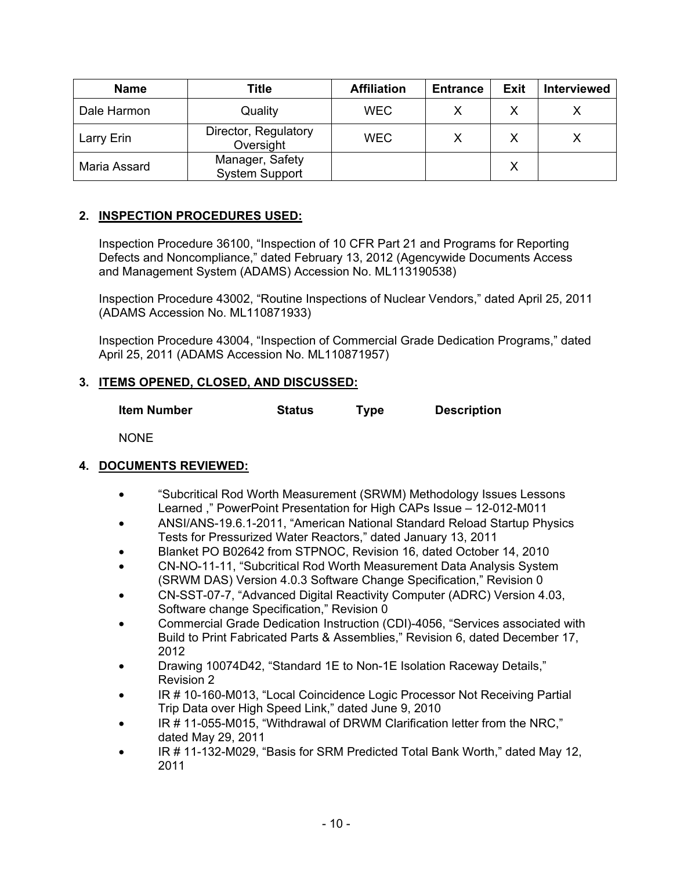| <b>Name</b>  | Title                                    | <b>Affiliation</b> | <b>Entrance</b> | Exit | <b>Interviewed</b> |
|--------------|------------------------------------------|--------------------|-----------------|------|--------------------|
| Dale Harmon  | Quality                                  | <b>WEC</b>         |                 |      |                    |
| Larry Erin   | Director, Regulatory<br>Oversight        | <b>WEC</b>         |                 |      |                    |
| Maria Assard | Manager, Safety<br><b>System Support</b> |                    |                 |      |                    |

# **2. INSPECTION PROCEDURES USED:**

 Inspection Procedure 36100, "Inspection of 10 CFR Part 21 and Programs for Reporting Defects and Noncompliance," dated February 13, 2012 (Agencywide Documents Access and Management System (ADAMS) Accession No. ML113190538)

 Inspection Procedure 43002, "Routine Inspections of Nuclear Vendors," dated April 25, 2011 (ADAMS Accession No. ML110871933)

 Inspection Procedure 43004, "Inspection of Commercial Grade Dedication Programs," dated April 25, 2011 (ADAMS Accession No. ML110871957)

# **3. ITEMS OPENED, CLOSED, AND DISCUSSED:**

**Item Number Status Type Description** 

NONE

# **4. DOCUMENTS REVIEWED:**

- "Subcritical Rod Worth Measurement (SRWM) Methodology Issues Lessons Learned ," PowerPoint Presentation for High CAPs Issue – 12-012-M011
- ANSI/ANS-19.6.1-2011, "American National Standard Reload Startup Physics Tests for Pressurized Water Reactors," dated January 13, 2011
- Blanket PO B02642 from STPNOC, Revision 16, dated October 14, 2010
- CN-NO-11-11, "Subcritical Rod Worth Measurement Data Analysis System (SRWM DAS) Version 4.0.3 Software Change Specification," Revision 0
- CN-SST-07-7, "Advanced Digital Reactivity Computer (ADRC) Version 4.03, Software change Specification," Revision 0
- Commercial Grade Dedication Instruction (CDI)-4056, "Services associated with Build to Print Fabricated Parts & Assemblies," Revision 6, dated December 17, 2012
- Drawing 10074D42, "Standard 1E to Non-1E Isolation Raceway Details," Revision 2
- IR # 10-160-M013, "Local Coincidence Logic Processor Not Receiving Partial Trip Data over High Speed Link," dated June 9, 2010
- IR # 11-055-M015, "Withdrawal of DRWM Clarification letter from the NRC," dated May 29, 2011
- IR # 11-132-M029, "Basis for SRM Predicted Total Bank Worth," dated May 12, 2011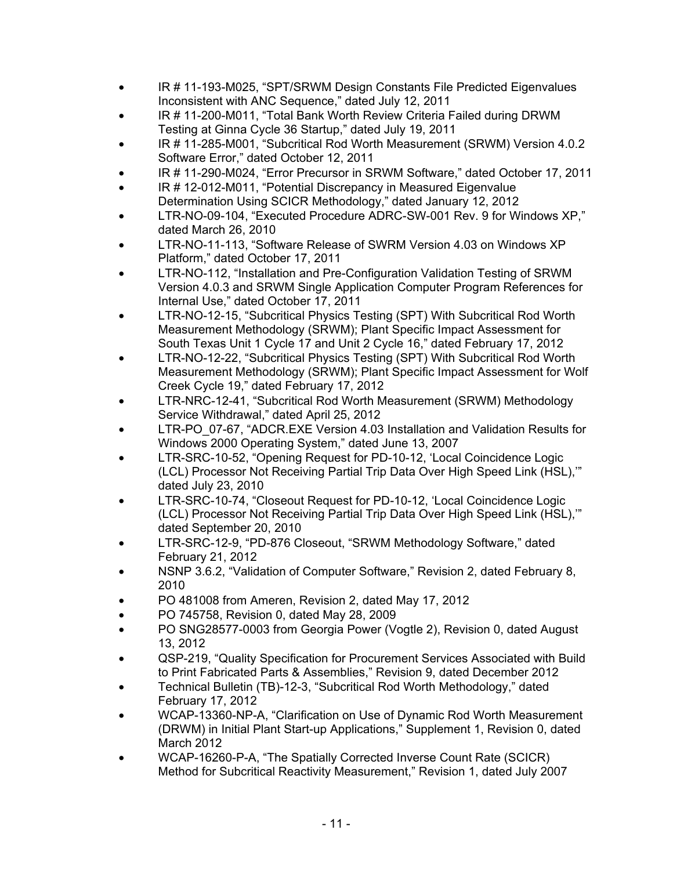- IR # 11-193-M025, "SPT/SRWM Design Constants File Predicted Eigenvalues Inconsistent with ANC Sequence," dated July 12, 2011
- IR # 11-200-M011, "Total Bank Worth Review Criteria Failed during DRWM Testing at Ginna Cycle 36 Startup," dated July 19, 2011
- IR # 11-285-M001, "Subcritical Rod Worth Measurement (SRWM) Version 4.0.2 Software Error," dated October 12, 2011
- IR # 11-290-M024, "Error Precursor in SRWM Software," dated October 17, 2011
- IR # 12-012-M011, "Potential Discrepancy in Measured Eigenvalue Determination Using SCICR Methodology," dated January 12, 2012
- LTR-NO-09-104, "Executed Procedure ADRC-SW-001 Rev. 9 for Windows XP," dated March 26, 2010
- LTR-NO-11-113, "Software Release of SWRM Version 4.03 on Windows XP Platform," dated October 17, 2011
- LTR-NO-112, "Installation and Pre-Configuration Validation Testing of SRWM Version 4.0.3 and SRWM Single Application Computer Program References for Internal Use," dated October 17, 2011
- LTR-NO-12-15, "Subcritical Physics Testing (SPT) With Subcritical Rod Worth Measurement Methodology (SRWM); Plant Specific Impact Assessment for South Texas Unit 1 Cycle 17 and Unit 2 Cycle 16," dated February 17, 2012
- LTR-NO-12-22, "Subcritical Physics Testing (SPT) With Subcritical Rod Worth Measurement Methodology (SRWM); Plant Specific Impact Assessment for Wolf Creek Cycle 19," dated February 17, 2012
- LTR-NRC-12-41, "Subcritical Rod Worth Measurement (SRWM) Methodology Service Withdrawal," dated April 25, 2012
- LTR-PO\_07-67, "ADCR.EXE Version 4.03 Installation and Validation Results for Windows 2000 Operating System," dated June 13, 2007
- LTR-SRC-10-52, "Opening Request for PD-10-12, 'Local Coincidence Logic (LCL) Processor Not Receiving Partial Trip Data Over High Speed Link (HSL),'" dated July 23, 2010
- LTR-SRC-10-74, "Closeout Request for PD-10-12, 'Local Coincidence Logic (LCL) Processor Not Receiving Partial Trip Data Over High Speed Link (HSL),'" dated September 20, 2010
- LTR-SRC-12-9, "PD-876 Closeout, "SRWM Methodology Software," dated February 21, 2012
- NSNP 3.6.2, "Validation of Computer Software," Revision 2, dated February 8, 2010
- PO 481008 from Ameren, Revision 2, dated May 17, 2012
- PO 745758, Revision 0, dated May 28, 2009
- PO SNG28577-0003 from Georgia Power (Vogtle 2), Revision 0, dated August 13, 2012
- QSP-219, "Quality Specification for Procurement Services Associated with Build to Print Fabricated Parts & Assemblies," Revision 9, dated December 2012
- Technical Bulletin (TB)-12-3, "Subcritical Rod Worth Methodology," dated February 17, 2012
- WCAP-13360-NP-A, "Clarification on Use of Dynamic Rod Worth Measurement (DRWM) in Initial Plant Start-up Applications," Supplement 1, Revision 0, dated March 2012
- WCAP-16260-P-A, "The Spatially Corrected Inverse Count Rate (SCICR) Method for Subcritical Reactivity Measurement," Revision 1, dated July 2007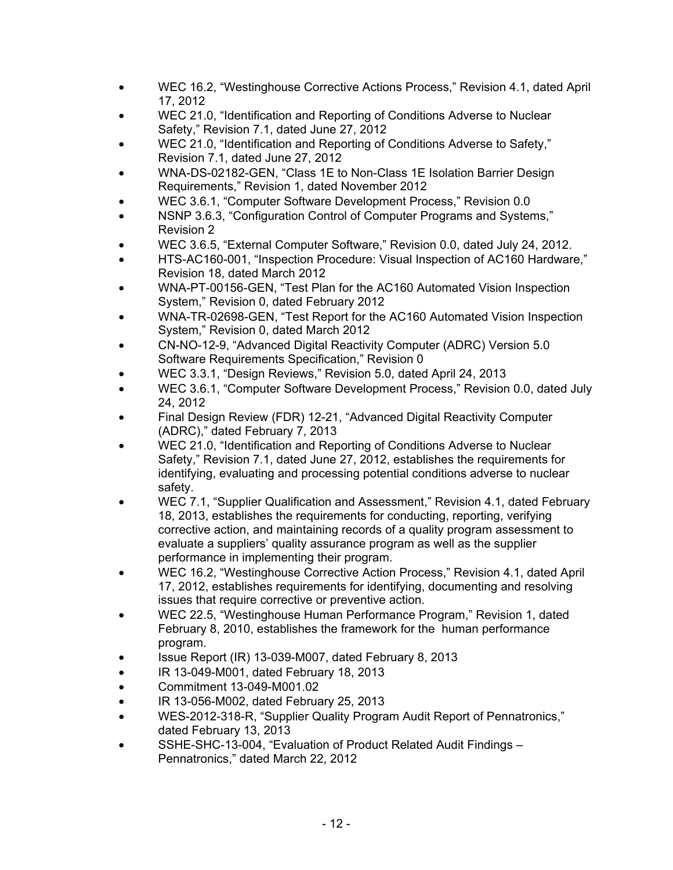- WEC 16.2, "Westinghouse Corrective Actions Process," Revision 4.1, dated April 17, 2012
- WEC 21.0, "Identification and Reporting of Conditions Adverse to Nuclear Safety," Revision 7.1, dated June 27, 2012
- WEC 21.0, "Identification and Reporting of Conditions Adverse to Safety," Revision 7.1, dated June 27, 2012
- WNA-DS-02182-GEN, "Class 1E to Non-Class 1E Isolation Barrier Design Requirements," Revision 1, dated November 2012
- WEC 3.6.1, "Computer Software Development Process," Revision 0.0
- NSNP 3.6.3, "Configuration Control of Computer Programs and Systems," Revision 2
- WEC 3.6.5, "External Computer Software," Revision 0.0, dated July 24, 2012.
- HTS-AC160-001, "Inspection Procedure: Visual Inspection of AC160 Hardware," Revision 18, dated March 2012
- WNA-PT-00156-GEN, "Test Plan for the AC160 Automated Vision Inspection System," Revision 0, dated February 2012
- WNA-TR-02698-GEN, "Test Report for the AC160 Automated Vision Inspection System," Revision 0, dated March 2012
- CN-NO-12-9, "Advanced Digital Reactivity Computer (ADRC) Version 5.0 Software Requirements Specification," Revision 0
- WEC 3.3.1, "Design Reviews," Revision 5.0, dated April 24, 2013
- WEC 3.6.1, "Computer Software Development Process," Revision 0.0, dated July 24, 2012
- Final Design Review (FDR) 12-21, "Advanced Digital Reactivity Computer (ADRC)," dated February 7, 2013
- WEC 21.0, "Identification and Reporting of Conditions Adverse to Nuclear Safety," Revision 7.1, dated June 27, 2012, establishes the requirements for identifying, evaluating and processing potential conditions adverse to nuclear safety.
- WEC 7.1, "Supplier Qualification and Assessment," Revision 4.1, dated February 18, 2013, establishes the requirements for conducting, reporting, verifying corrective action, and maintaining records of a quality program assessment to evaluate a suppliers' quality assurance program as well as the supplier performance in implementing their program.
- WEC 16.2, "Westinghouse Corrective Action Process," Revision 4.1, dated April 17, 2012, establishes requirements for identifying, documenting and resolving issues that require corrective or preventive action.
- WEC 22.5, "Westinghouse Human Performance Program," Revision 1, dated February 8, 2010, establishes the framework for the human performance program.
- Issue Report (IR) 13-039-M007, dated February 8, 2013
- IR 13-049-M001, dated February 18, 2013
- Commitment 13-049-M001.02
- IR 13-056-M002, dated February 25, 2013
- WES-2012-318-R, "Supplier Quality Program Audit Report of Pennatronics," dated February 13, 2013
- SSHE-SHC-13-004, "Evaluation of Product Related Audit Findings Pennatronics," dated March 22, 2012